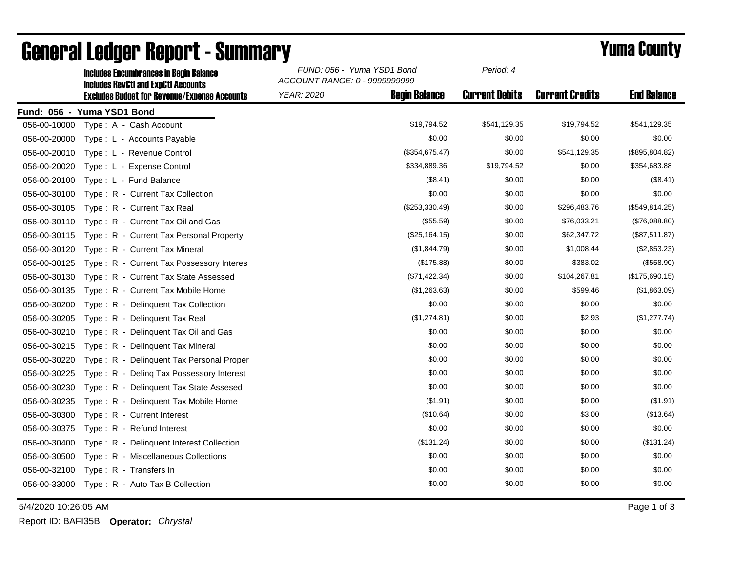|              | <b>Includes RevCtI and ExpCtI Accounts</b>          | ACCOUNT RANGE: 0 - 9999999999 |                      |                       |                        |                    |  |
|--------------|-----------------------------------------------------|-------------------------------|----------------------|-----------------------|------------------------|--------------------|--|
|              | <b>Excludes Budget for Revenue/Expense Accounts</b> | <b>YEAR: 2020</b>             | <b>Begin Balance</b> | <b>Current Debits</b> | <b>Current Credits</b> | <b>End Balance</b> |  |
|              | Fund: 056 - Yuma YSD1 Bond                          |                               |                      |                       |                        |                    |  |
| 056-00-10000 | Type: A - Cash Account                              |                               | \$19,794.52          | \$541,129.35          | \$19,794.52            | \$541,129.35       |  |
| 056-00-20000 | Type: L - Accounts Payable                          |                               | \$0.00               | \$0.00                | \$0.00                 | \$0.00             |  |
| 056-00-20010 | Type: L - Revenue Control                           |                               | (\$354,675.47)       | \$0.00                | \$541,129.35           | (\$895, 804.82)    |  |
| 056-00-20020 | Type: L - Expense Control                           |                               | \$334,889.36         | \$19,794.52           | \$0.00                 | \$354,683.88       |  |
| 056-00-20100 | Type: L - Fund Balance                              |                               | $(\$8.41)$           | \$0.00                | \$0.00                 | (\$8.41)           |  |
| 056-00-30100 | Type: R - Current Tax Collection                    |                               | \$0.00               | \$0.00                | \$0.00                 | \$0.00             |  |
| 056-00-30105 | Type: R - Current Tax Real                          |                               | (\$253,330.49)       | \$0.00                | \$296,483.76           | (\$549, 814.25)    |  |
| 056-00-30110 | Type: R - Current Tax Oil and Gas                   |                               | (\$55.59)            | \$0.00                | \$76,033.21            | (\$76,088.80)      |  |
| 056-00-30115 | Type: R - Current Tax Personal Property             |                               | (\$25,164.15)        | \$0.00                | \$62,347.72            | (\$87,511.87)      |  |
| 056-00-30120 | Type: R - Current Tax Mineral                       |                               | (\$1,844.79)         | \$0.00                | \$1,008.44             | (\$2,853.23)       |  |
| 056-00-30125 | Type: R - Current Tax Possessory Interes            |                               | (\$175.88)           | \$0.00                | \$383.02               | (\$558.90)         |  |
| 056-00-30130 | Type: R - Current Tax State Assessed                |                               | (\$71,422.34)        | \$0.00                | \$104,267.81           | (\$175,690.15)     |  |
| 056-00-30135 | Type: R - Current Tax Mobile Home                   |                               | (\$1,263.63)         | \$0.00                | \$599.46               | (\$1,863.09)       |  |
| 056-00-30200 | Type: R - Delinguent Tax Collection                 |                               | \$0.00               | \$0.00                | \$0.00                 | \$0.00             |  |
| 056-00-30205 | Type: R - Delinquent Tax Real                       |                               | (\$1,274.81)         | \$0.00                | \$2.93                 | (\$1,277.74)       |  |
| 056-00-30210 | Type: R - Delinquent Tax Oil and Gas                |                               | \$0.00               | \$0.00                | \$0.00                 | \$0.00             |  |
| 056-00-30215 | Type: R - Delinquent Tax Mineral                    |                               | \$0.00               | \$0.00                | \$0.00                 | \$0.00             |  |
| 056-00-30220 | Type: R - Delinquent Tax Personal Proper            |                               | \$0.00               | \$0.00                | \$0.00                 | \$0.00             |  |
| 056-00-30225 | Type: R - Deling Tax Possessory Interest            |                               | \$0.00               | \$0.00                | \$0.00                 | \$0.00             |  |
| 056-00-30230 | Type: R - Delinquent Tax State Assesed              |                               | \$0.00               | \$0.00                | \$0.00                 | \$0.00             |  |
| 056-00-30235 | Type: R - Delinquent Tax Mobile Home                |                               | (\$1.91)             | \$0.00                | \$0.00                 | (\$1.91)           |  |
| 056-00-30300 | Type: R - Current Interest                          |                               | (\$10.64)            | \$0.00                | \$3.00                 | (\$13.64)          |  |
| 056-00-30375 | Type: R - Refund Interest                           |                               | \$0.00               | \$0.00                | \$0.00                 | \$0.00             |  |
| 056-00-30400 | Type: R - Delinquent Interest Collection            |                               | (\$131.24)           | \$0.00                | \$0.00                 | (\$131.24)         |  |
| 056-00-30500 | Type: R - Miscellaneous Collections                 |                               | \$0.00               | \$0.00                | \$0.00                 | \$0.00             |  |
| 056-00-32100 | Type: R - Transfers In                              |                               | \$0.00               | \$0.00                | \$0.00                 | \$0.00             |  |
| 056-00-33000 | Type: R - Auto Tax B Collection                     |                               | \$0.00               | \$0.00                | \$0.00                 | \$0.00             |  |
|              |                                                     |                               |                      |                       |                        |                    |  |

## General Ledger Report - Summary **Example 2018** Yuma County

Includes Encumbrances in Begin Balance *FUND: 056 - Yuma YSD1 Bond*

5/4/2020 10:26:05 AM Page 1 of 3

Report ID: BAFI35B **Operator:** *Chrystal*

*Period: 4*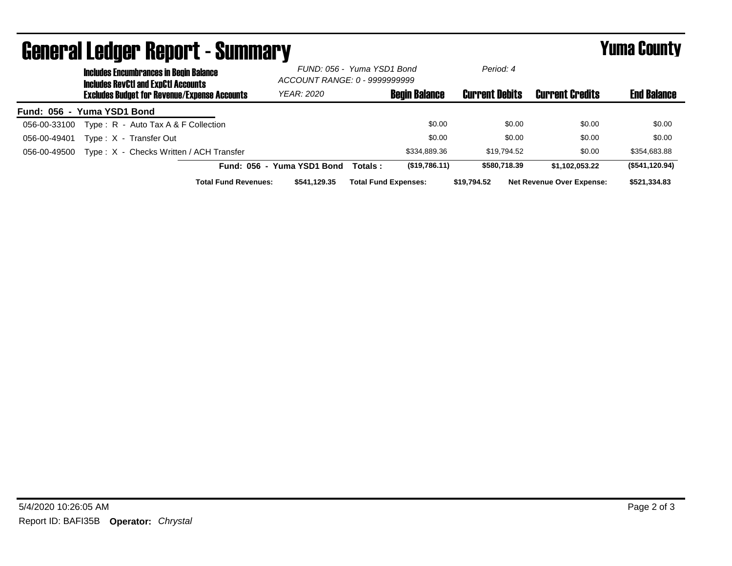| General Leager Report - Summary |                                                                                             |                                                     |                             |                                                             |         |                             | Yuma Guunty           |                                  |                    |
|---------------------------------|---------------------------------------------------------------------------------------------|-----------------------------------------------------|-----------------------------|-------------------------------------------------------------|---------|-----------------------------|-----------------------|----------------------------------|--------------------|
|                                 | <b>Includes Encumbrances in Begin Balance</b><br><b>Includes RevCtI and ExpCtI Accounts</b> |                                                     |                             | FUND: 056 - Yuma YSD1 Bond<br>ACCOUNT RANGE: 0 - 9999999999 |         | Period: 4                   |                       |                                  |                    |
|                                 |                                                                                             | <b>Excludes Budget for Revenue/Expense Accounts</b> |                             | <b>YEAR: 2020</b>                                           |         | <b>Begin Balance</b>        | <b>Current Debits</b> | <b>Current Credits</b>           | <b>End Balance</b> |
| Fund: 056 - Yuma YSD1 Bond      |                                                                                             |                                                     |                             |                                                             |         |                             |                       |                                  |                    |
| 056-00-33100                    |                                                                                             | Type: $R -$ Auto Tax A & F Collection               |                             |                                                             |         | \$0.00                      | \$0.00                | \$0.00                           | \$0.00             |
| 056-00-49401                    |                                                                                             | Type: X - Transfer Out                              |                             |                                                             |         | \$0.00                      | \$0.00                | \$0.00                           | \$0.00             |
| 056-00-49500                    |                                                                                             | Type: X - Checks Written / ACH Transfer             |                             |                                                             |         | \$334,889.36                | \$19,794.52           | \$0.00                           | \$354,683.88       |
|                                 |                                                                                             |                                                     | <b>Fund: 056</b>            | - Yuma YSD1 Bond                                            | Totals: | (\$19,786.11)               | \$580,718,39          | \$1.102.053.22                   | (\$541, 120.94)    |
|                                 |                                                                                             |                                                     | <b>Total Fund Revenues:</b> | \$541.129.35                                                |         | <b>Total Fund Expenses:</b> | \$19.794.52           | <b>Net Revenue Over Expense:</b> | \$521.334.83       |

## General Ledger Report - Summary Yuma County